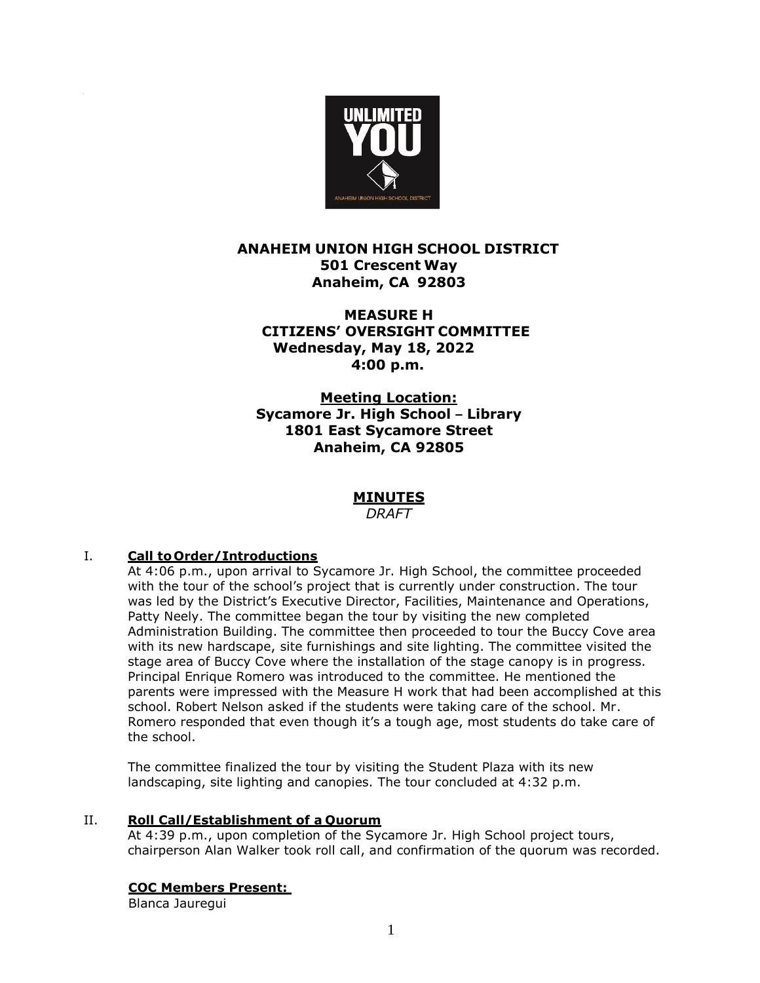

# **ANAHEIM UNION HIGH SCHOOL DISTRICT 501 Crescent Way Anaheim, CA 92803**

**MEASURE H CITIZENS' OVERSIGHT COMMITTEE Wednesday, May 18, 2022 4:00 p.m.**

 **Meeting Location: Sycamore Jr. High School – Library 1801 East Sycamore Street Anaheim, CA 92805**

# **MINUTES**

*DRAFT*

## I. **Call to Order/Introductions**

At 4:06 p.m., upon arrival to Sycamore Jr. High School, the committee proceeded with the tour of the school's project that is currently under construction. The tour was led by the District's Executive Director, Facilities, Maintenance and Operations, Patty Neely. The committee began the tour by visiting the new completed Administration Building. The committee then proceeded to tour the Buccy Cove area with its new hardscape, site furnishings and site lighting. The committee visited the stage area of Buccy Cove where the installation of the stage canopy is in progress. Principal Enrique Romero was introduced to the committee. He mentioned the parents were impressed with the Measure H work that had been accomplished at this school. Robert Nelson asked if the students were taking care of the school. Mr. Romero responded that even though it's a tough age, most students do take care of the school.

The committee finalized the tour by visiting the Student Plaza with its new landscaping, site lighting and canopies. The tour concluded at 4:32 p.m.

### II. **Roll Call/Establishment of a Quorum**

At 4:39 p.m., upon completion of the Sycamore Jr. High School project tours, chairperson Alan Walker took roll call, and confirmation of the quorum was recorded.

### **COC Members Present:**

Blanca Jauregui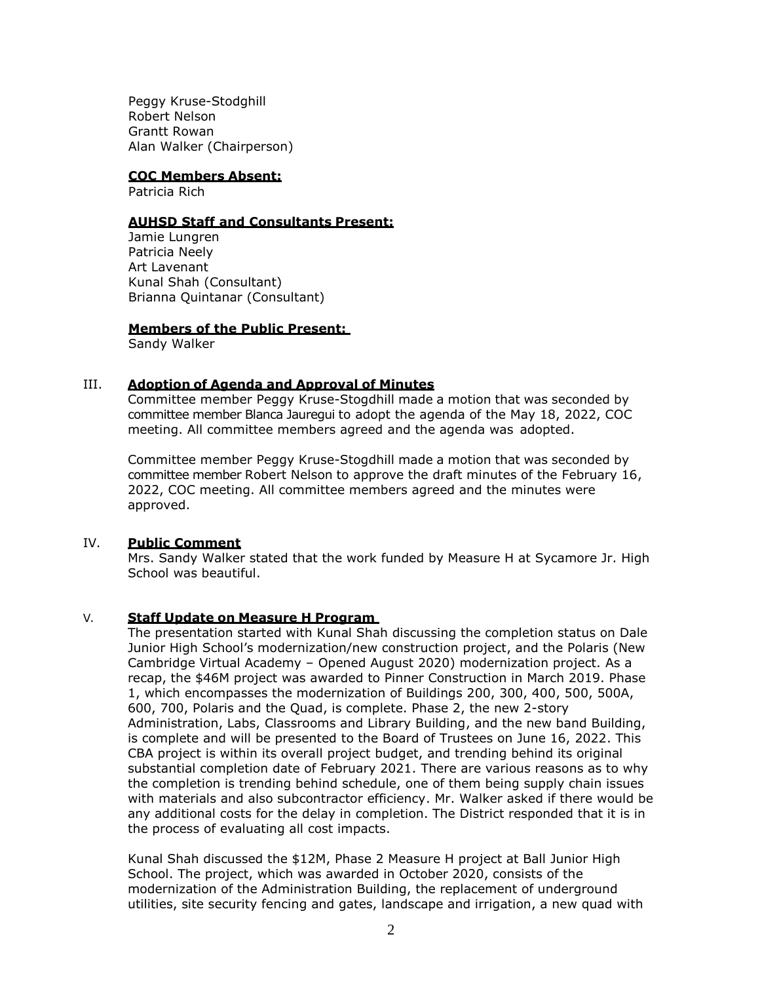Peggy Kruse-Stodghill Robert Nelson Grantt Rowan Alan Walker (Chairperson)

### **COC Members Absent:**

Patricia Rich

#### **AUHSD Staff and Consultants Present:**

Jamie Lungren Patricia Neely Art Lavenant Kunal Shah (Consultant) Brianna Quintanar (Consultant)

#### **Members of the Public Present:**

Sandy Walker

### III. **Adoption of Agenda and Approval of Minutes**

Committee member Peggy Kruse-Stogdhill made a motion that was seconded by committee member Blanca Jauregui to adopt the agenda of the May 18, 2022, COC meeting. All committee members agreed and the agenda was adopted.

Committee member Peggy Kruse-Stogdhill made a motion that was seconded by committee member Robert Nelson to approve the draft minutes of the February 16, 2022, COC meeting. All committee members agreed and the minutes were approved.

### IV. **Public Comment**

Mrs. Sandy Walker stated that the work funded by Measure H at Sycamore Jr. High School was beautiful.

### V. **Staff Update on Measure H Program**

The presentation started with Kunal Shah discussing the completion status on Dale Junior High School's modernization/new construction project, and the Polaris (New Cambridge Virtual Academy – Opened August 2020) modernization project. As a recap, the \$46M project was awarded to Pinner Construction in March 2019. Phase 1, which encompasses the modernization of Buildings 200, 300, 400, 500, 500A, 600, 700, Polaris and the Quad, is complete. Phase 2, the new 2-story Administration, Labs, Classrooms and Library Building, and the new band Building, is complete and will be presented to the Board of Trustees on June 16, 2022. This CBA project is within its overall project budget, and trending behind its original substantial completion date of February 2021. There are various reasons as to why the completion is trending behind schedule, one of them being supply chain issues with materials and also subcontractor efficiency. Mr. Walker asked if there would be any additional costs for the delay in completion. The District responded that it is in the process of evaluating all cost impacts.

Kunal Shah discussed the \$12M, Phase 2 Measure H project at Ball Junior High School. The project, which was awarded in October 2020, consists of the modernization of the Administration Building, the replacement of underground utilities, site security fencing and gates, landscape and irrigation, a new quad with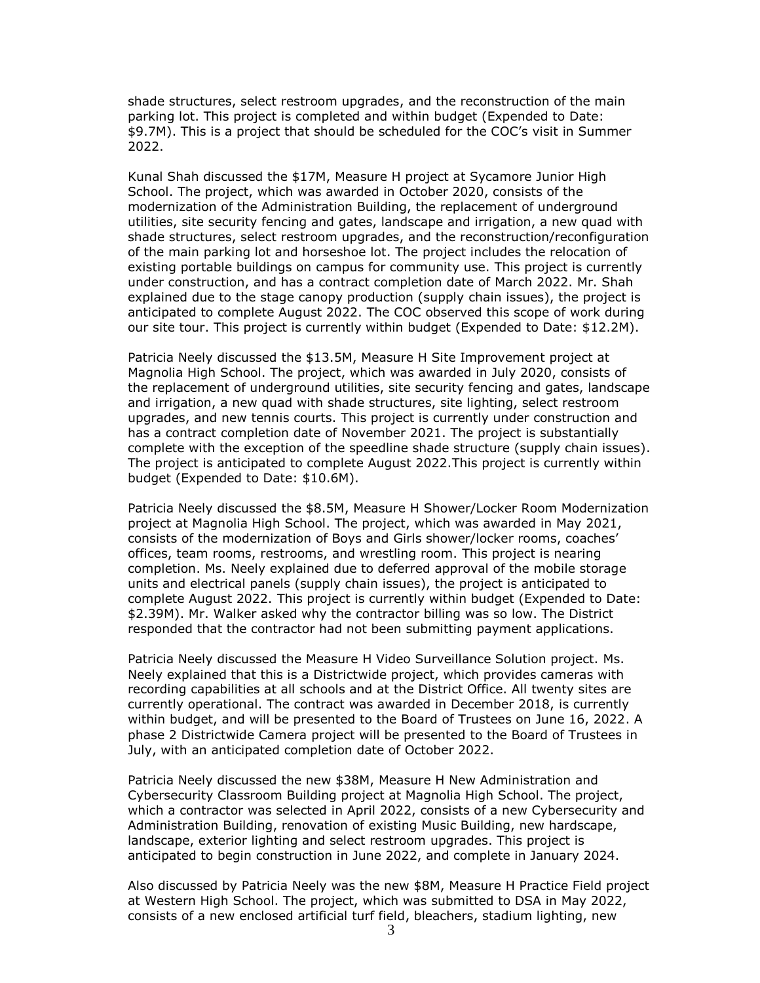shade structures, select restroom upgrades, and the reconstruction of the main parking lot. This project is completed and within budget (Expended to Date: \$9.7M). This is a project that should be scheduled for the COC's visit in Summer 2022.

Kunal Shah discussed the \$17M, Measure H project at Sycamore Junior High School. The project, which was awarded in October 2020, consists of the modernization of the Administration Building, the replacement of underground utilities, site security fencing and gates, landscape and irrigation, a new quad with shade structures, select restroom upgrades, and the reconstruction/reconfiguration of the main parking lot and horseshoe lot. The project includes the relocation of existing portable buildings on campus for community use. This project is currently under construction, and has a contract completion date of March 2022. Mr. Shah explained due to the stage canopy production (supply chain issues), the project is anticipated to complete August 2022. The COC observed this scope of work during our site tour. This project is currently within budget (Expended to Date: \$12.2M).

Patricia Neely discussed the \$13.5M, Measure H Site Improvement project at Magnolia High School. The project, which was awarded in July 2020, consists of the replacement of underground utilities, site security fencing and gates, landscape and irrigation, a new quad with shade structures, site lighting, select restroom upgrades, and new tennis courts. This project is currently under construction and has a contract completion date of November 2021. The project is substantially complete with the exception of the speedline shade structure (supply chain issues). The project is anticipated to complete August 2022.This project is currently within budget (Expended to Date: \$10.6M).

Patricia Neely discussed the \$8.5M, Measure H Shower/Locker Room Modernization project at Magnolia High School. The project, which was awarded in May 2021, consists of the modernization of Boys and Girls shower/locker rooms, coaches' offices, team rooms, restrooms, and wrestling room. This project is nearing completion. Ms. Neely explained due to deferred approval of the mobile storage units and electrical panels (supply chain issues), the project is anticipated to complete August 2022. This project is currently within budget (Expended to Date: \$2.39M). Mr. Walker asked why the contractor billing was so low. The District responded that the contractor had not been submitting payment applications.

Patricia Neely discussed the Measure H Video Surveillance Solution project. Ms. Neely explained that this is a Districtwide project, which provides cameras with recording capabilities at all schools and at the District Office. All twenty sites are currently operational. The contract was awarded in December 2018, is currently within budget, and will be presented to the Board of Trustees on June 16, 2022. A phase 2 Districtwide Camera project will be presented to the Board of Trustees in July, with an anticipated completion date of October 2022.

Patricia Neely discussed the new \$38M, Measure H New Administration and Cybersecurity Classroom Building project at Magnolia High School. The project, which a contractor was selected in April 2022, consists of a new Cybersecurity and Administration Building, renovation of existing Music Building, new hardscape, landscape, exterior lighting and select restroom upgrades. This project is anticipated to begin construction in June 2022, and complete in January 2024.

Also discussed by Patricia Neely was the new \$8M, Measure H Practice Field project at Western High School. The project, which was submitted to DSA in May 2022, consists of a new enclosed artificial turf field, bleachers, stadium lighting, new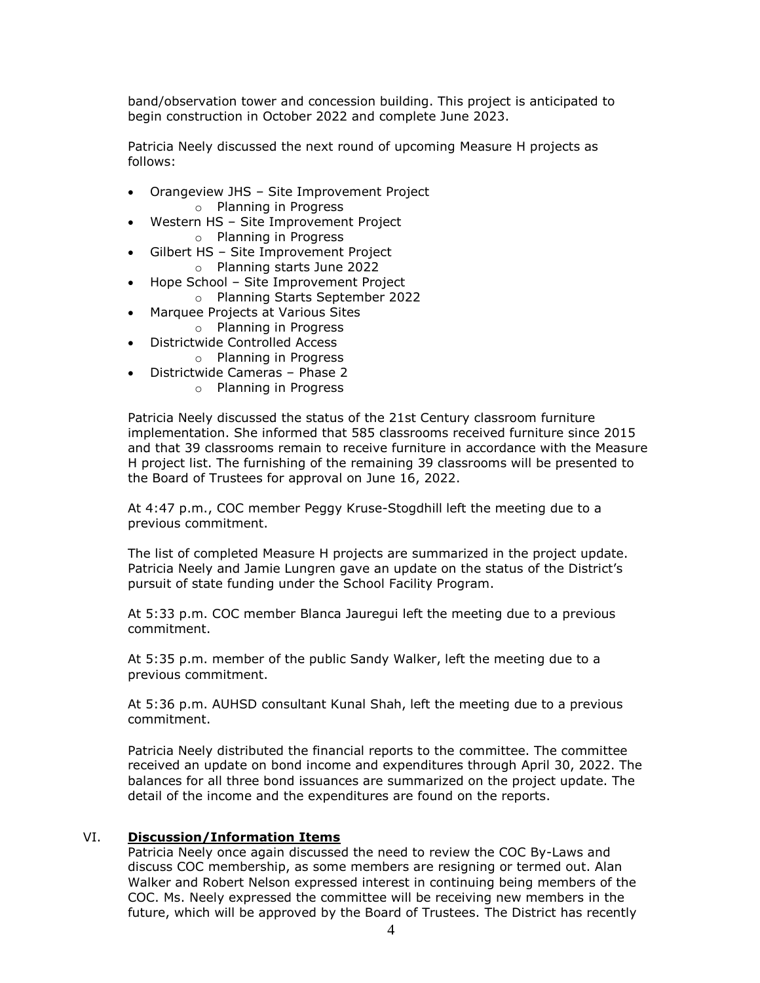band/observation tower and concession building. This project is anticipated to begin construction in October 2022 and complete June 2023.

Patricia Neely discussed the next round of upcoming Measure H projects as follows:

- Orangeview JHS Site Improvement Project o Planning in Progress
- Western HS Site Improvement Project o Planning in Progress
	- Gilbert HS Site Improvement Project
	- o Planning starts June 2022
- Hope School Site Improvement Project
	- o Planning Starts September 2022
- Marquee Projects at Various Sites
	- o Planning in Progress
- Districtwide Controlled Access
	- o Planning in Progress
- Districtwide Cameras Phase 2
	- o Planning in Progress

Patricia Neely discussed the status of the 21st Century classroom furniture implementation. She informed that 585 classrooms received furniture since 2015 and that 39 classrooms remain to receive furniture in accordance with the Measure H project list. The furnishing of the remaining 39 classrooms will be presented to the Board of Trustees for approval on June 16, 2022.

At 4:47 p.m., COC member Peggy Kruse-Stogdhill left the meeting due to a previous commitment.

The list of completed Measure H projects are summarized in the project update. Patricia Neely and Jamie Lungren gave an update on the status of the District's pursuit of state funding under the School Facility Program.

At 5:33 p.m. COC member Blanca Jauregui left the meeting due to a previous commitment.

At 5:35 p.m. member of the public Sandy Walker, left the meeting due to a previous commitment.

At 5:36 p.m. AUHSD consultant Kunal Shah, left the meeting due to a previous commitment.

Patricia Neely distributed the financial reports to the committee. The committee received an update on bond income and expenditures through April 30, 2022. The balances for all three bond issuances are summarized on the project update. The detail of the income and the expenditures are found on the reports.

#### VI. **Discussion/Information Items**

Patricia Neely once again discussed the need to review the COC By-Laws and discuss COC membership, as some members are resigning or termed out. Alan Walker and Robert Nelson expressed interest in continuing being members of the COC. Ms. Neely expressed the committee will be receiving new members in the future, which will be approved by the Board of Trustees. The District has recently